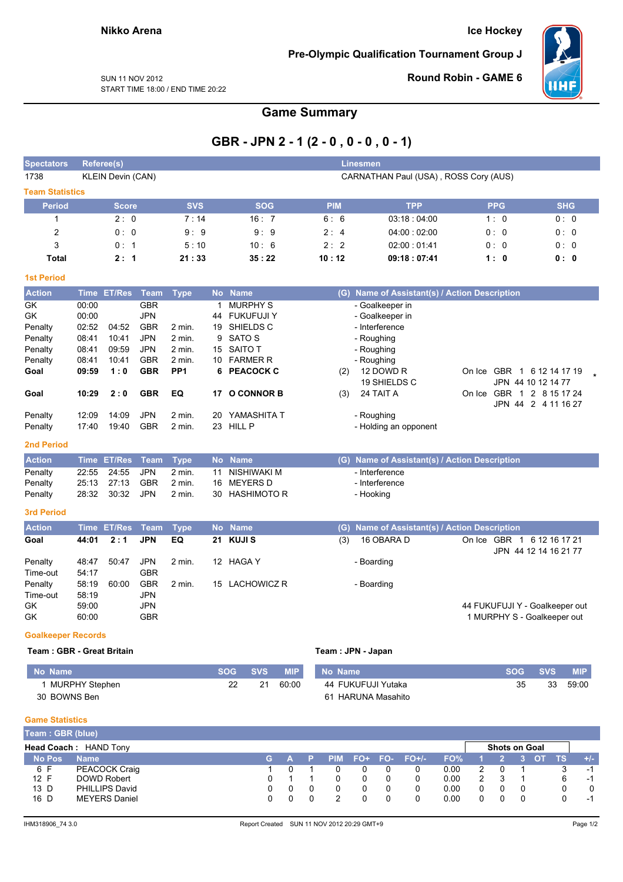**Ice Hockey** 

Pre-Olympic Qualification Tournament Group J



**SUN 11 NOV 2012** START TIME 18:00 / END TIME 20:22 **Round Robin - GAME 6** 

**Game Summary** 

# GBR - JPN 2 - 1 (2 - 0, 0 - 0, 0 - 1)

| <b>Spectators</b>         |       | <b>Referee(s)</b>        |             |                 |                 |                    |            | Linesmen                                      |                                                  |            |
|---------------------------|-------|--------------------------|-------------|-----------------|-----------------|--------------------|------------|-----------------------------------------------|--------------------------------------------------|------------|
| 1738                      |       | <b>KLEIN Devin (CAN)</b> |             |                 |                 |                    |            | CARNATHAN Paul (USA), ROSS Cory (AUS)         |                                                  |            |
| <b>Team Statistics</b>    |       |                          |             |                 |                 |                    |            |                                               |                                                  |            |
| <b>Period</b>             |       | <b>Score</b>             |             | <b>SVS</b>      |                 | <b>SOG</b>         | <b>PIM</b> | <b>TPP</b>                                    | <b>PPG</b>                                       | <b>SHG</b> |
| 1                         |       | 2:0                      |             | 7:14            |                 | 16:7               | 6:6        | 03:18:04:00                                   | 1:0                                              | 0: 0       |
| 2                         |       | 0:0                      |             | 9:9             |                 | 9:9                | 2:4        | 04:00:02:00                                   | 0: 0                                             | 0: 0       |
| 3                         |       | 0:1                      |             | 5:10            |                 | 10:6               | 2:2        | 02:00:01:41                                   | 0:0                                              | 0:0        |
| <b>Total</b>              |       | 2:1                      |             | 21:33           |                 | 35:22              | 10:12      | 09:18:07:41                                   | 1:0                                              | 0: 0       |
| <b>1st Period</b>         |       |                          |             |                 |                 |                    |            |                                               |                                                  |            |
| <b>Action</b>             |       | Time ET/Res              | Team        | <b>Type</b>     |                 | No Name            |            | (G) Name of Assistant(s) / Action Description |                                                  |            |
| GK                        | 00:00 |                          | <b>GBR</b>  |                 | $\mathbf 1$     | <b>MURPHY S</b>    |            | - Goalkeeper in                               |                                                  |            |
| GK                        | 00:00 |                          | <b>JPN</b>  |                 |                 | 44 FUKUFUJI Y      |            | - Goalkeeper in                               |                                                  |            |
| Penalty                   | 02:52 | 04:52                    | <b>GBR</b>  | 2 min.          |                 | 19 SHIELDS C       |            | - Interference                                |                                                  |            |
| Penalty                   | 08:41 | 10:41                    | <b>JPN</b>  | 2 min.          | 9               | <b>SATO S</b>      |            | - Roughing                                    |                                                  |            |
| Penalty                   | 08:41 | 09:59                    | <b>JPN</b>  | 2 min.          | 15 <sup>1</sup> | <b>SAITO T</b>     |            | - Roughing                                    |                                                  |            |
| Penalty                   | 08:41 | 10:41                    | <b>GBR</b>  | 2 min.          |                 | 10 FARMER R        |            | - Roughing                                    |                                                  |            |
| Goal                      | 09:59 | 1:0                      | <b>GBR</b>  | PP <sub>1</sub> |                 | 6 PEACOCK C        | (2)        | 12 DOWD R                                     | On Ice GBR 1 6 12 14 17 19                       |            |
|                           |       |                          |             |                 |                 |                    |            | 19 SHIELDS C                                  | JPN 44 10 12 14 77                               |            |
| Goal                      | 10:29 | 2:0                      | <b>GBR</b>  | EQ              |                 | 17 O CONNOR B      | (3)        | 24 TAIT A                                     | On Ice GBR 1 2 8 15 17 24<br>JPN 44 2 4 11 16 27 |            |
| Penalty                   | 12:09 | 14:09                    | <b>JPN</b>  | 2 min.          | 20              | YAMASHITA T        |            | - Roughing                                    |                                                  |            |
| Penalty                   | 17:40 | 19:40                    | <b>GBR</b>  | $2$ min.        |                 | 23 HILL P          |            | - Holding an opponent                         |                                                  |            |
| <b>2nd Period</b>         |       |                          |             |                 |                 |                    |            |                                               |                                                  |            |
| <b>Action</b>             |       | Time ET/Res              | <b>Team</b> | <b>Type</b>     | <b>No</b>       | <b>Name</b>        | (G)        | Name of Assistant(s) / Action Description     |                                                  |            |
| Penalty                   | 22:55 | 24:55                    | <b>JPN</b>  | 2 min.          | 11              | <b>NISHIWAKI M</b> |            | - Interference                                |                                                  |            |
| Penalty                   | 25:13 | 27:13                    | <b>GBR</b>  | 2 min.          | 16              | <b>MEYERS D</b>    |            | - Interference                                |                                                  |            |
| Penalty                   | 28:32 | 30:32                    | <b>JPN</b>  | 2 min.          | 30              | <b>HASHIMOTO R</b> |            | - Hooking                                     |                                                  |            |
| <b>3rd Period</b>         |       |                          |             |                 |                 |                    |            |                                               |                                                  |            |
| <b>Action</b>             |       | Time ET/Res              | <b>Team</b> | <b>Type</b>     |                 | No Name            |            | (G) Name of Assistant(s) / Action Description |                                                  |            |
| Goal                      | 44:01 | 2:1                      | <b>JPN</b>  | EQ              | 21              | <b>KUJIS</b>       | (3)        | 16 OBARA D                                    | On Ice GBR 1 6 12 16 17 21                       |            |
|                           |       |                          |             |                 |                 |                    |            |                                               | JPN 44 12 14 16 21 77                            |            |
| Penalty                   | 48:47 | 50:47                    | <b>JPN</b>  | 2 min.          |                 | 12 HAGA Y          |            | - Boarding                                    |                                                  |            |
| Time-out                  | 54:17 |                          | <b>GBR</b>  |                 |                 |                    |            |                                               |                                                  |            |
| Penalty                   | 58:19 | 60:00                    | <b>GBR</b>  | $2$ min.        | 15              | <b>LACHOWICZ R</b> |            | - Boarding                                    |                                                  |            |
| Time-out                  | 58:19 |                          | <b>JPN</b>  |                 |                 |                    |            |                                               |                                                  |            |
| GK                        | 59:00 |                          | <b>JPN</b>  |                 |                 |                    |            |                                               | 44 FUKUFUJI Y - Goalkeeper out                   |            |
| GK                        | 60:00 |                          | <b>GBR</b>  |                 |                 |                    |            |                                               | 1 MURPHY S - Goalkeeper out                      |            |
| <b>Goalkeeper Records</b> |       |                          |             |                 |                 |                    |            |                                               |                                                  |            |

#### Team: GBR - Great Britain

| No Name          | 'sog svs | <b>MIP</b> | No Name            | <b>SOG</b> | <b>SVS</b> | <b>MIP</b> |
|------------------|----------|------------|--------------------|------------|------------|------------|
| 1 MURPHY Stephen | -21      | 60:00      | 44 FUKUFUJI Yutaka | 35         | 33         | 59:00      |
| 30 BOWNS Ben     |          |            | 61 HARUNA Masahito |            |            |            |

Team : JPN - Japan

#### **Game Statistics**

 $N<sub>c</sub>$ 

| Team: GBR (blue) |                       |     |  |  |                   |      |                      |  |     |       |
|------------------|-----------------------|-----|--|--|-------------------|------|----------------------|--|-----|-------|
|                  | Head Coach: HAND Tony |     |  |  |                   |      | <b>Shots on Goal</b> |  |     |       |
| <b>No Pos</b>    | <b>Name</b>           | G A |  |  | PIM FO+ FO- FO+/- | FO%  |                      |  | TS. | $+/-$ |
| 6 F              | PEACOCK Craig         |     |  |  |                   | 0.00 |                      |  |     | - 1   |
| 12 F             | DOWD Robert           |     |  |  |                   | 0.00 |                      |  | 6   | -1    |
| 13 D             | <b>PHILLIPS David</b> |     |  |  |                   | 0.00 |                      |  |     |       |
| 16 D             | <b>MEYERS Daniel</b>  |     |  |  |                   | 0.00 |                      |  |     | -1    |
|                  |                       |     |  |  |                   |      |                      |  |     |       |